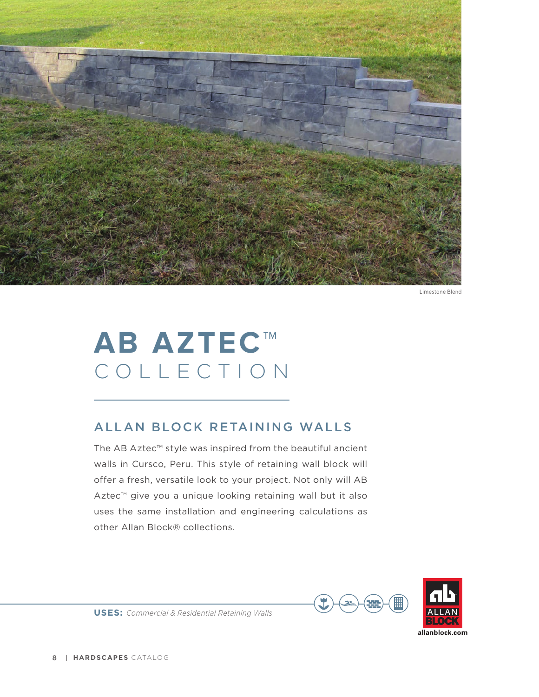

Limestone Blend

## **AB AZTEC™** COLLECTION

## ALLAN BLOCK RETAINING WALLS

The AB Aztec™ style was inspired from the beautiful ancient walls in Cursco, Peru. This style of retaining wall block will offer a fresh, versatile look to your project. Not only will AB Aztec™ give you a unique looking retaining wall but it also uses the same installation and engineering calculations as other Allan Block® collections.



**USES:** *Commercial & Residential Retaining Walls*